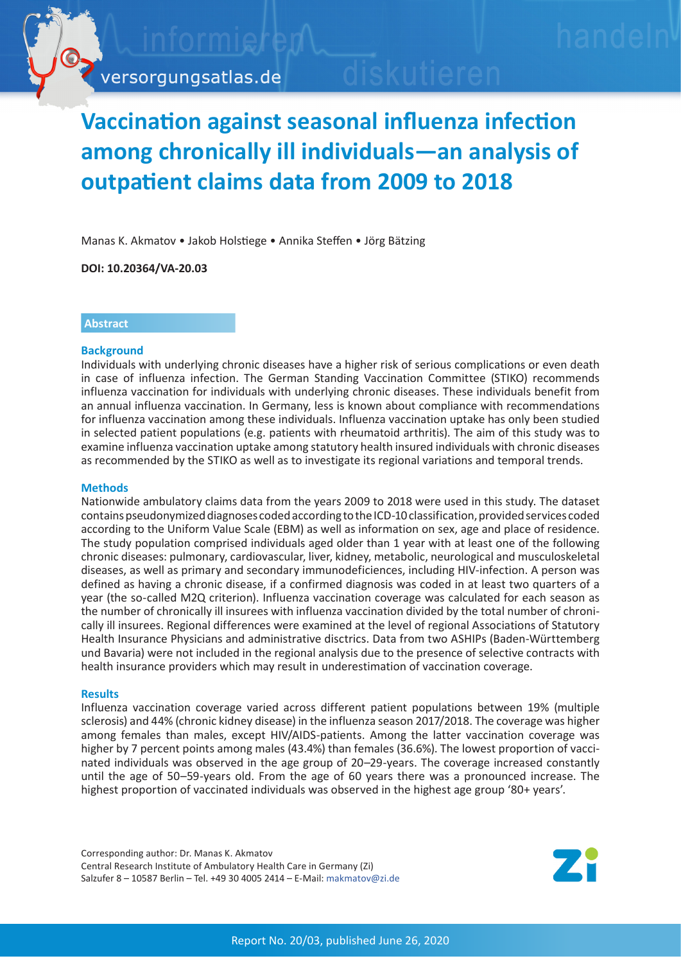

# **Vaccination against seasonal influenza infection among chronically ill individuals—an analysis of outpatient claims data from 2009 to 2018**

Manas K. Akmatov • Jakob Holstiege • Annika Steffen • Jörg Bätzing

**DOI: 10.20364/VA-20.03**

## **Abstract**

#### **Background**

Individuals with underlying chronic diseases have a higher risk of serious complications or even death in case of influenza infection. The German Standing Vaccination Committee (STIKO) recommends influenza vaccination for individuals with underlying chronic diseases. These individuals benefit from an annual influenza vaccination. In Germany, less is known about compliance with recommendations for influenza vaccination among these individuals. Influenza vaccination uptake has only been studied in selected patient populations (e.g. patients with rheumatoid arthritis). The aim of this study was to examine influenza vaccination uptake among statutory health insured individuals with chronic diseases as recommended by the STIKO as well as to investigate its regional variations and temporal trends.

## **Methods**

Nationwide ambulatory claims data from the years 2009 to 2018 were used in this study. The dataset contains pseudonymized diagnoses coded according to the ICD-10 classification, provided services coded according to the Uniform Value Scale (EBM) as well as information on sex, age and place of residence. The study population comprised individuals aged older than 1 year with at least one of the following chronic diseases: pulmonary, cardiovascular, liver, kidney, metabolic, neurological and musculoskeletal diseases, as well as primary and secondary immunodeficiences, including HIV-infection. A person was defined as having a chronic disease, if a confirmed diagnosis was coded in at least two quarters of a year (the so-called M2Q criterion). Influenza vaccination coverage was calculated for each season as the number of chronically ill insurees with influenza vaccination divided by the total number of chronically ill insurees. Regional differences were examined at the level of regional Associations of Statutory Health Insurance Physicians and administrative disctrics. Data from two ASHIPs (Baden-Württemberg und Bavaria) were not included in the regional analysis due to the presence of selective contracts with health insurance providers which may result in underestimation of vaccination coverage.

#### **Results**

Influenza vaccination coverage varied across different patient populations between 19% (multiple sclerosis) and 44% (chronic kidney disease) in the influenza season 2017/2018. The coverage was higher among females than males, except HIV/AIDS-patients. Among the latter vaccination coverage was higher by 7 percent points among males (43.4%) than females (36.6%). The lowest proportion of vaccinated individuals was observed in the age group of 20–29-years. The coverage increased constantly until the age of 50–59-years old. From the age of 60 years there was a pronounced increase. The highest proportion of vaccinated individuals was observed in the highest age group '80+ years'.

Corresponding author: Dr. Manas K. Akmatov Central Research Institute of Ambulatory Health Care in Germany (Zi) Salzufer 8 – 10587 Berlin – Tel. +49 30 4005 2414 – E-Mail: [makmatov@zi.de](mailto:makmatov%40zi.de?subject=VA-Bericht%2020/03%20Influenza%20Impfung)